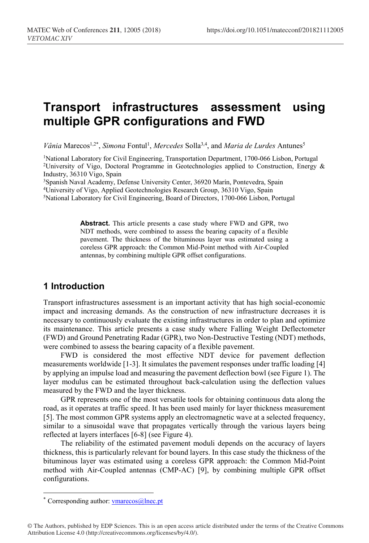# **Transport infrastructures assessment using multiple GPR configurations and FWD**

*Vânia* Marecos<sup>1,2\*</sup>, *Simona* Fontul<sup>1</sup>, *Mercedes* Solla<sup>3,4</sup>, and *Maria de Lurdes* Antunes<sup>5</sup>

1National Laboratory for Civil Engineering, Transportation Department, 1700-066 Lisbon, Portugal <sup>2</sup>University of Vigo, Doctoral Programme in Geotechnologies applied to Construction, Energy & Industry, 36310 Vigo, Spain

3Spanish Naval Academy, Defense University Center, 36920 Marín, Pontevedra, Spain 4University of Vigo, Applied Geotechnologies Research Group, 36310 Vigo, Spain

5National Laboratory for Civil Engineering, Board of Directors, 1700-066 Lisbon, Portugal

**Abstract.** This article presents a case study where FWD and GPR, two NDT methods, were combined to assess the bearing capacity of a flexible pavement. The thickness of the bituminous layer was estimated using a coreless GPR approach: the Common Mid-Point method with Air-Coupled antennas, by combining multiple GPR offset configurations.

### **1 Introduction**

Transport infrastructures assessment is an important activity that has high social-economic impact and increasing demands. As the construction of new infrastructure decreases it is necessary to continuously evaluate the existing infrastructures in order to plan and optimize its maintenance. This article presents a case study where Falling Weight Deflectometer (FWD) and Ground Penetrating Radar (GPR), two Non-Destructive Testing (NDT) methods, were combined to assess the bearing capacity of a flexible pavement.

FWD is considered the most effective NDT device for pavement deflection measurements worldwide [1-3]. It simulates the pavement responses under traffic loading [4] by applying an impulse load and measuring the pavement deflection bowl (see Figure 1). The layer modulus can be estimated throughout back-calculation using the deflection values measured by the FWD and the layer thickness.

GPR represents one of the most versatile tools for obtaining continuous data along the road, as it operates at traffic speed. It has been used mainly for layer thickness measurement [5]. The most common GPR systems apply an electromagnetic wave at a selected frequency, similar to a sinusoidal wave that propagates vertically through the various layers being reflected at layers interfaces [6-8] (see Figure 4).

The reliability of the estimated pavement moduli depends on the accuracy of layers thickness, this is particularly relevant for bound layers. In this case study the thickness of the bituminous layer was estimated using a coreless GPR approach: the Common Mid-Point method with Air-Coupled antennas (CMP-AC) [9], by combining multiple GPR offset configurations.

 $\overline{a}$ 

<sup>\*</sup> Corresponding author:  $vmarecos(a)$ lnec.pt

<sup>©</sup> The Authors, published by EDP Sciences. This is an open access article distributed under the terms of the Creative Commons Attribution License 4.0 (http://creativecommons.org/licenses/by/4.0/).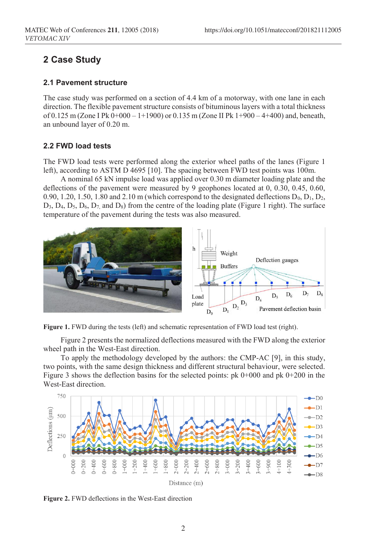## **2 Case Study**

#### **2.1 Pavement structure**

The case study was performed on a section of 4.4 km of a motorway, with one lane in each direction. The flexible pavement structure consists of bituminous layers with a total thickness of 0.125 m (Zone I Pk  $0+000-1+1900$ ) or 0.135 m (Zone II Pk  $1+900-4+400$ ) and, beneath, an unbound layer of 0.20 m.

#### **2.2 FWD load tests**

The FWD load tests were performed along the exterior wheel paths of the lanes (Figure 1 left), according to ASTM D 4695 [10]. The spacing between FWD test points was 100m.

A nominal 65 kN impulse load was applied over 0.30 m diameter loading plate and the deflections of the pavement were measured by 9 geophones located at 0, 0.30, 0.45, 0.60, 0.90, 1.20, 1.50, 1.80 and 2.10 m (which correspond to the designated deflections  $D_0$ ,  $D_1$ ,  $D_2$ ,  $D_3$ ,  $D_4$ ,  $D_5$ ,  $D_6$ ,  $D_7$  and  $D_8$ ) from the centre of the loading plate (Figure 1 right). The surface temperature of the pavement during the tests was also measured.





Figure 2 presents the normalized deflections measured with the FWD along the exterior wheel path in the West-East direction.

To apply the methodology developed by the authors: the CMP-AC [9], in this study, two points, with the same design thickness and different structural behaviour, were selected. Figure 3 shows the deflection basins for the selected points:  $pk 0+000$  and  $pk 0+200$  in the West-East direction.



**Figure 2.** FWD deflections in the West-East direction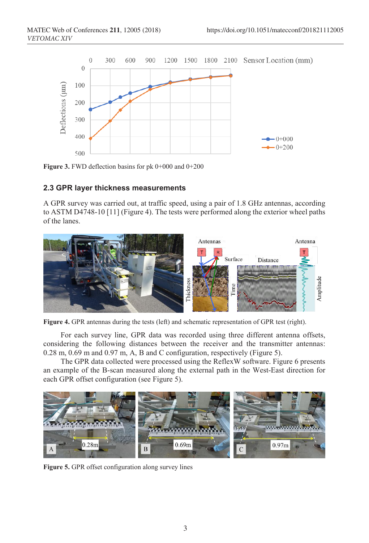

**Figure 3. FWD deflection basins for pk 0+000 and 0+200** 

#### **2.3 GPR layer thickness measurements**

A GPR survey was carried out, at traffic speed, using a pair of 1.8 GHz antennas, according to ASTM D4748-10 [11] (Figure 4). The tests were performed along the exterior wheel paths of the lanes.



**Figure 4.** GPR antennas during the tests (left) and schematic representation of GPR test (right).

For each survey line, GPR data was recorded using three different antenna offsets, considering the following distances between the receiver and the transmitter antennas: 0.28 m, 0.69 m and 0.97 m, A, B and C configuration, respectively (Figure 5).

The GPR data collected were processed using the ReflexW software. Figure 6 presents an example of the B-scan measured along the external path in the West-East direction for each GPR offset configuration (see Figure 5).



Figure 5. GPR offset configuration along survey lines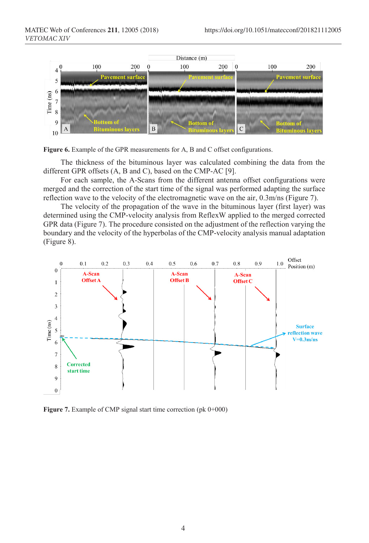

Figure 6. Example of the GPR measurements for A, B and C offset configurations.

The thickness of the bituminous layer was calculated combining the data from the different GPR offsets (A, B and C), based on the CMP-AC [9].

For each sample, the A-Scans from the different antenna offset configurations were merged and the correction of the start time of the signal was performed adapting the surface reflection wave to the velocity of the electromagnetic wave on the air, 0.3m/ns (Figure 7).

The velocity of the propagation of the wave in the bituminous layer (first layer) was determined using the CMP-velocity analysis from ReflexW applied to the merged corrected GPR data (Figure 7). The procedure consisted on the adjustment of the reflection varying the boundary and the velocity of the hyperbolas of the CMP-velocity analysis manual adaptation (Figure 8).



**Figure 7.** Example of CMP signal start time correction (pk 0+000)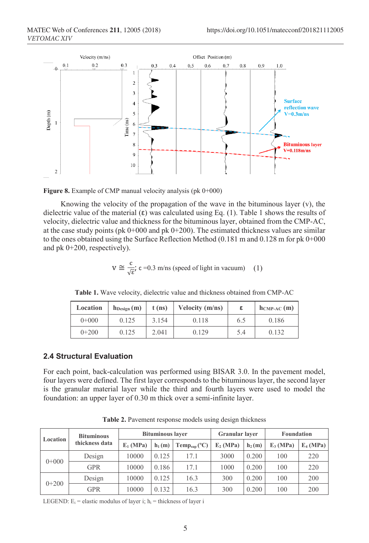



Knowing the velocity of the propagation of the wave in the bituminous layer  $(v)$ , the dielectric value of the material  $(\epsilon)$  was calculated using Eq. (1). Table 1 shows the results of velocity, dielectric value and thickness for the bituminous layer, obtained from the CMP-AC, at the case study points (pk  $0+000$  and pk  $0+200$ ). The estimated thickness values are similar to the ones obtained using the Surface Reflection Method (0.181 m and 0.128 m for pk 0+000 and pk 0+200, respectively).

$$
V \cong \frac{c}{\sqrt{\epsilon}}, \ c = 0.3 \text{ m/ns (speed of light in vacuum)} \quad (1)
$$

| Location | $h_{\text{Design}}(m)$ | $t$ (ns) | Velocity $(m/ns)$ |     | $h_{\text{CMP-AC}}(m)$ |  |
|----------|------------------------|----------|-------------------|-----|------------------------|--|
| $0+000$  | 0.125                  | 3.154    | 0.118             | 6.5 | 0.186                  |  |
| $0+200$  | 0.125                  | 2.041    | 0.129             | 5.4 | 0.132                  |  |

**Table 1.** Wave velocity, dielectric value and thickness obtained from CMP-AC

#### **2.4 Structural Evaluation**

For each point, back-calculation was performed using BISAR 3.0. In the pavement model, four layers were defined. The first layer corresponds to the bituminous layer, the second layer is the granular material layer while the third and fourth layers were used to model the foundation: an upper layer of 0.30 m thick over a semi-infinite layer.

| Location | <b>Bituminous</b><br>thickness data | <b>Bituminous layer</b> |          |                   | <b>Granular layer</b> |          | <b>Foundation</b> |            |
|----------|-------------------------------------|-------------------------|----------|-------------------|-----------------------|----------|-------------------|------------|
|          |                                     | $E_1$ (MPa)             | $h_1(m)$ | $Temp_{sup} (°C)$ | E <sub>2</sub> (MPa)  | $h_2(m)$ | $E_3(MPa)$        | $E_4(MPa)$ |
| $0+000$  | Design                              | 10000                   | 0.125    | 17.1              | 3000                  | 0.200    | 100               | 220        |
|          | <b>GPR</b>                          | 10000                   | 0.186    | 17.1              | 1000                  | 0.200    | 100               | 220        |
| $0+200$  | Design                              | 10000                   | 0.125    | 16.3              | 300                   | 0.200    | 100               | 200        |
|          | <b>GPR</b>                          | 10000                   | 0.132    | 16.3              | 300                   | 0.200    | 100               | 200        |

Table 2. Pavement response models using design thickness

LEGEND:  $E_i$  = elastic modulus of layer i;  $h_i$  = thickness of layer i